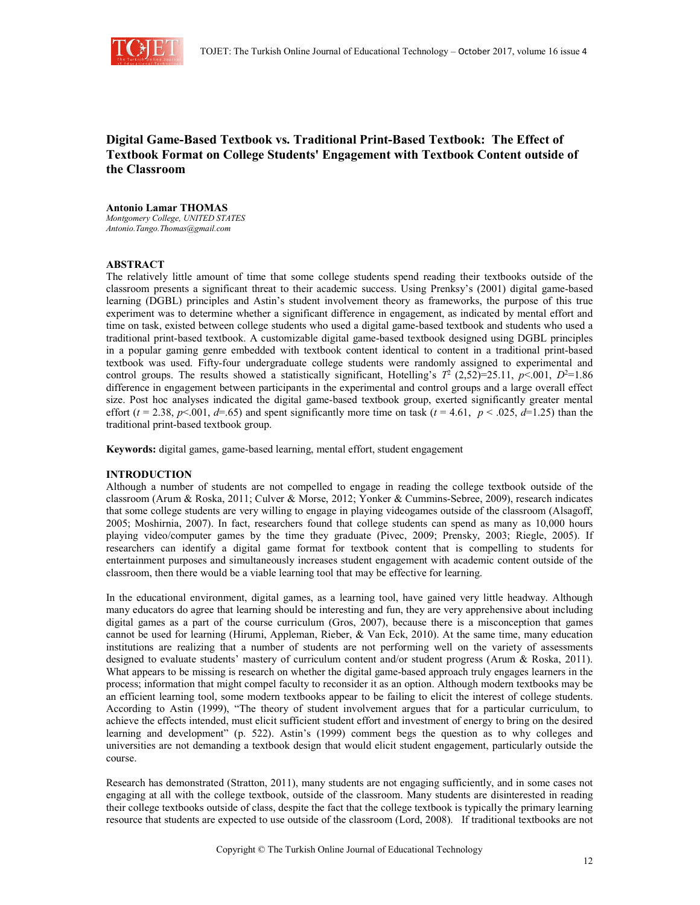

# **Digital Game-Based Textbook vs. Traditional Print-Based Textbook: The Effect of Textbook Format on College Students' Engagement with Textbook Content outside of the Classroom**

### **Antonio Lamar THOMAS**

*Montgomery College, UNITED STATES Antonio.Tango.Thomas@gmail.com*

# **ABSTRACT**

The relatively little amount of time that some college students spend reading their textbooks outside of the classroom presents a significant threat to their academic success. Using Prenksy's (2001) digital game-based learning (DGBL) principles and Astin's student involvement theory as frameworks, the purpose of this true experiment was to determine whether a significant difference in engagement, as indicated by mental effort and time on task, existed between college students who used a digital game-based textbook and students who used a traditional print-based textbook. A customizable digital game-based textbook designed using DGBL principles in a popular gaming genre embedded with textbook content identical to content in a traditional print-based textbook was used. Fifty-four undergraduate college students were randomly assigned to experimental and control groups. The results showed a statistically significant, Hotelling's  $T^2$  (2,52)=25.11, *p*<.001, *D*<sup>2</sup>=1.86 difference in engagement between participants in the experimental and control groups and a large overall effect size. Post hoc analyses indicated the digital game-based textbook group, exerted significantly greater mental effort ( $t = 2.38$ ,  $p < 001$ ,  $d = .65$ ) and spent significantly more time on task ( $t = 4.61$ ,  $p < .025$ ,  $d = 1.25$ ) than the traditional print-based textbook group.

**Keywords:** digital games, game-based learning, mental effort, student engagement

# **INTRODUCTION**

Although a number of students are not compelled to engage in reading the college textbook outside of the classroom (Arum & Roska, 2011; Culver & Morse, 2012; Yonker & Cummins-Sebree, 2009), research indicates that some college students are very willing to engage in playing videogames outside of the classroom (Alsagoff, 2005; Moshirnia, 2007). In fact, researchers found that college students can spend as many as 10,000 hours playing video/computer games by the time they graduate (Pivec, 2009; Prensky, 2003; Riegle, 2005). If researchers can identify a digital game format for textbook content that is compelling to students for entertainment purposes and simultaneously increases student engagement with academic content outside of the classroom, then there would be a viable learning tool that may be effective for learning.

In the educational environment, digital games, as a learning tool, have gained very little headway. Although many educators do agree that learning should be interesting and fun, they are very apprehensive about including digital games as a part of the course curriculum (Gros, 2007), because there is a misconception that games cannot be used for learning (Hirumi, Appleman, Rieber, & Van Eck, 2010). At the same time, many education institutions are realizing that a number of students are not performing well on the variety of assessments designed to evaluate students' mastery of curriculum content and/or student progress (Arum & Roska, 2011). What appears to be missing is research on whether the digital game-based approach truly engages learners in the process; information that might compel faculty to reconsider it as an option. Although modern textbooks may be an efficient learning tool, some modern textbooks appear to be failing to elicit the interest of college students. According to Astin (1999), "The theory of student involvement argues that for a particular curriculum, to achieve the effects intended, must elicit sufficient student effort and investment of energy to bring on the desired learning and development" (p. 522). Astin's (1999) comment begs the question as to why colleges and universities are not demanding a textbook design that would elicit student engagement, particularly outside the course.

Research has demonstrated (Stratton, 2011), many students are not engaging sufficiently, and in some cases not engaging at all with the college textbook, outside of the classroom. Many students are disinterested in reading their college textbooks outside of class, despite the fact that the college textbook is typically the primary learning resource that students are expected to use outside of the classroom (Lord, 2008). If traditional textbooks are not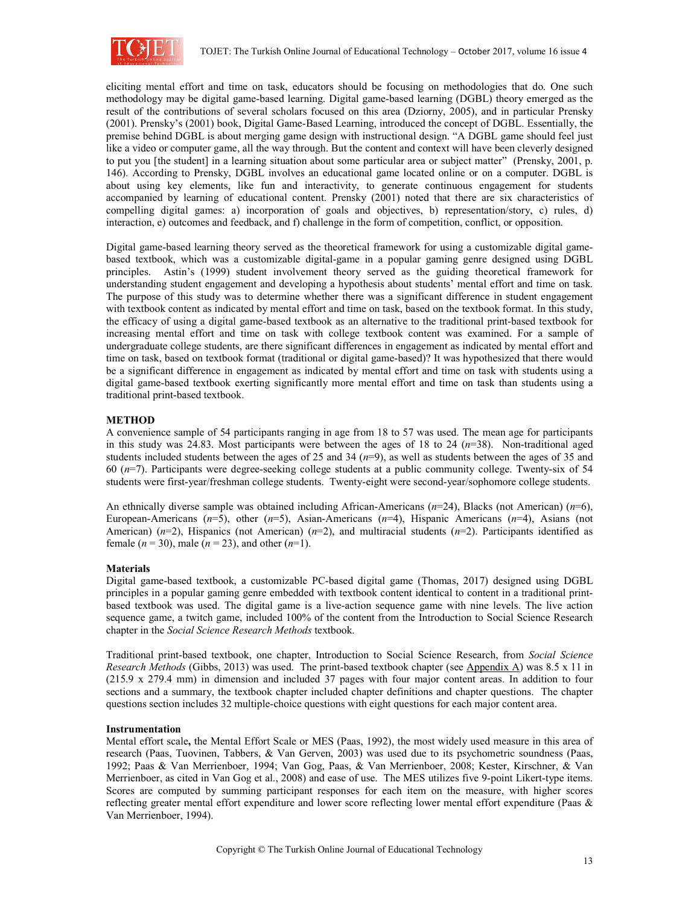

eliciting mental effort and time on task, educators should be focusing on methodologies that do. One such methodology may be digital game-based learning. Digital game-based learning (DGBL) theory emerged as the result of the contributions of several scholars focused on this area (Dziorny, 2005), and in particular Prensky (2001). Prensky's (2001) book, Digital Game-Based Learning, introduced the concept of DGBL. Essentially, the premise behind DGBL is about merging game design with instructional design. "A DGBL game should feel just like a video or computer game, all the way through. But the content and context will have been cleverly designed to put you [the student] in a learning situation about some particular area or subject matter" (Prensky, 2001, p. 146). According to Prensky, DGBL involves an educational game located online or on a computer. DGBL is about using key elements, like fun and interactivity, to generate continuous engagement for students accompanied by learning of educational content. Prensky (2001) noted that there are six characteristics of compelling digital games: a) incorporation of goals and objectives, b) representation/story, c) rules, d) interaction, e) outcomes and feedback, and f) challenge in the form of competition, conflict, or opposition.

Digital game-based learning theory served as the theoretical framework for using a customizable digital gamebased textbook, which was a customizable digital-game in a popular gaming genre designed using DGBL principles. Astin's (1999) student involvement theory served as the guiding theoretical framework for understanding student engagement and developing a hypothesis about students' mental effort and time on task. The purpose of this study was to determine whether there was a significant difference in student engagement with textbook content as indicated by mental effort and time on task, based on the textbook format. In this study, the efficacy of using a digital game-based textbook as an alternative to the traditional print-based textbook for increasing mental effort and time on task with college textbook content was examined. For a sample of undergraduate college students, are there significant differences in engagement as indicated by mental effort and time on task, based on textbook format (traditional or digital game-based)? It was hypothesized that there would be a significant difference in engagement as indicated by mental effort and time on task with students using a digital game-based textbook exerting significantly more mental effort and time on task than students using a traditional print-based textbook.

# **METHOD**

A convenience sample of 54 participants ranging in age from 18 to 57 was used. The mean age for participants in this study was 24.83. Most participants were between the ages of 18 to 24 (*n*=38). Non-traditional aged students included students between the ages of 25 and 34 (*n*=9), as well as students between the ages of 35 and 60 (*n*=7). Participants were degree-seeking college students at a public community college. Twenty-six of 54 students were first-year/freshman college students. Twenty-eight were second-year/sophomore college students.

An ethnically diverse sample was obtained including African-Americans (*n*=24), Blacks (not American) (*n*=6), European-Americans (*n*=5), other (*n*=5), Asian-Americans (*n*=4), Hispanic Americans (*n*=4), Asians (not American) (*n*=2), Hispanics (not American) (*n*=2), and multiracial students (*n*=2). Participants identified as female ( $n = 30$ ), male ( $n = 23$ ), and other ( $n=1$ ).

# **Materials**

Digital game-based textbook, a customizable PC-based digital game (Thomas, 2017) designed using DGBL principles in a popular gaming genre embedded with textbook content identical to content in a traditional printbased textbook was used. The digital game is a live-action sequence game with nine levels. The live action sequence game, a twitch game, included 100% of the content from the Introduction to Social Science Research chapter in the *Social Science Research Methods* textbook.

Traditional print-based textbook, one chapter, Introduction to Social Science Research, from *Social Science Research Methods* (Gibbs, 2013) was used. The print-based textbook chapter (see Appendix A) was 8.5 x 11 in (215.9 x 279.4 mm) in dimension and included 37 pages with four major content areas. In addition to four sections and a summary, the textbook chapter included chapter definitions and chapter questions. The chapter questions section includes 32 multiple-choice questions with eight questions for each major content area.

#### **Instrumentation**

Mental effort scale**,** the Mental Effort Scale or MES (Paas, 1992), the most widely used measure in this area of research (Paas, Tuovinen, Tabbers, & Van Gerven, 2003) was used due to its psychometric soundness (Paas, 1992; Paas & Van Merrienboer, 1994; Van Gog, Paas, & Van Merrienboer, 2008; Kester, Kirschner, & Van Merrienboer, as cited in Van Gog et al., 2008) and ease of use. The MES utilizes five 9-point Likert-type items. Scores are computed by summing participant responses for each item on the measure, with higher scores reflecting greater mental effort expenditure and lower score reflecting lower mental effort expenditure (Paas & Van Merrienboer, 1994).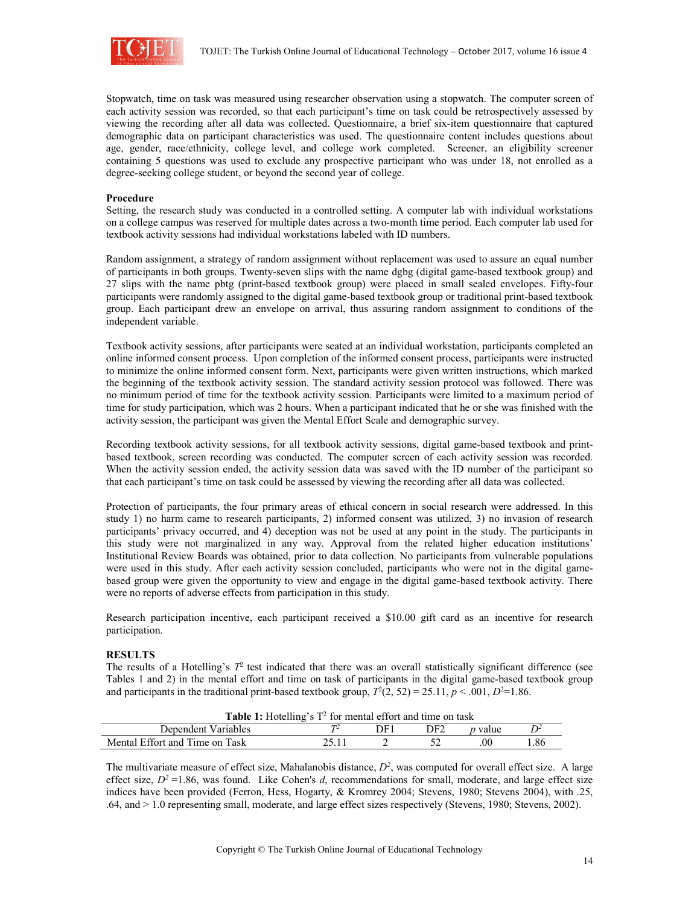

Stopwatch, time on task was measured using researcher observation using a stopwatch. The computer screen of each activity session was recorded, so that each participant's time on task could be retrospectively assessed by viewing the recording after all data was collected. Questionnaire, a brief six-item questionnaire that captured demographic data on participant characteristics was used. The questionnaire content includes questions about age, gender, race/ethnicity, college level, and college work completed. Screener, an eligibility screener containing 5 questions was used to exclude any prospective participant who was under 18, not enrolled as a degree-seeking college student, or beyond the second year of college.

#### **Procedure**

Setting, the research study was conducted in a controlled setting. A computer lab with individual workstations on a college campus was reserved for multiple dates across a two-month time period. Each computer lab used for textbook activity sessions had individual workstations labeled with ID numbers.

Random assignment, a strategy of random assignment without replacement was used to assure an equal number of participants in both groups. Twenty-seven slips with the name dgbg (digital game-based textbook group) and 27 slips with the name pbtg (print-based textbook group) were placed in small sealed envelopes. Fifty-four participants were randomly assigned to the digital game-based textbook group or traditional print-based textbook group. Each participant drew an envelope on arrival, thus assuring random assignment to conditions of the independent variable.

Textbook activity sessions, after participants were seated at an individual workstation, participants completed an online informed consent process. Upon completion of the informed consent process, participants were instructed to minimize the online informed consent form. Next, participants were given written instructions, which marked the beginning of the textbook activity session. The standard activity session protocol was followed. There was no minimum period of time for the textbook activity session. Participants were limited to a maximum period of time for study participation, which was 2 hours. When a participant indicated that he or she was finished with the activity session, the participant was given the Mental Effort Scale and demographic survey.

Recording textbook activity sessions, for all textbook activity sessions, digital game-based textbook and printbased textbook, screen recording was conducted. The computer screen of each activity session was recorded. When the activity session ended, the activity session data was saved with the ID number of the participant so that each participant's time on task could be assessed by viewing the recording after all data was collected.

Protection of participants, the four primary areas of ethical concern in social research were addressed. In this study 1) no harm came to research participants, 2) informed consent was utilized, 3) no invasion of research participants' privacy occurred, and 4) deception was not be used at any point in the study. The participants in this study were not marginalized in any way. Approval from the related higher education institutions' Institutional Review Boards was obtained, prior to data collection. No participants from vulnerable populations were used in this study. After each activity session concluded, participants who were not in the digital gamebased group were given the opportunity to view and engage in the digital game-based textbook activity. There were no reports of adverse effects from participation in this study.

Research participation incentive, each participant received a \$10.00 gift card as an incentive for research participation.

#### **RESULTS**

The results of a Hotelling's  $T^2$  test indicated that there was an overall statistically significant difference (see Tables 1 and 2) in the mental effort and time on task of participants in the digital game-based textbook group and participants in the traditional print-based textbook group,  $T^2(2, 52) = 25.11$ ,  $p < .001$ ,  $D^2 = 1.86$ .

| <b>Table 1:</b> Hotelling's $T^2$ for mental effort and time on task |  |     |     |                |     |  |  |
|----------------------------------------------------------------------|--|-----|-----|----------------|-----|--|--|
| Dependent Variables                                                  |  | 7E) | DF2 | <i>p</i> value |     |  |  |
| Mental Effort and Time on Task                                       |  |     |     |                | .86 |  |  |

The multivariate measure of effect size, Mahalanobis distance,  $D^2$ , was computed for overall effect size. A large effect size,  $D^2 = 1.86$ , was found. Like Cohen's *d*, recommendations for small, moderate, and large effect size indices have been provided (Ferron, Hess, Hogarty, & Kromrey 2004; Stevens, 1980; Stevens 2004), with .25, .64, and > 1.0 representing small, moderate, and large effect sizes respectively (Stevens, 1980; Stevens, 2002).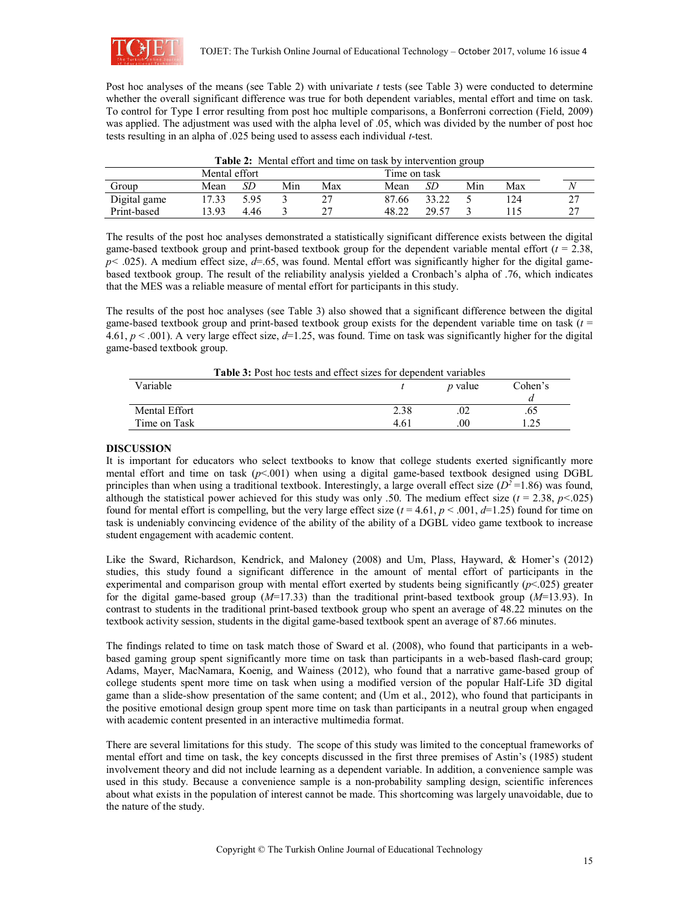

Post hoc analyses of the means (see Table 2) with univariate *t* tests (see Table 3) were conducted to determine whether the overall significant difference was true for both dependent variables, mental effort and time on task. To control for Type I error resulting from post hoc multiple comparisons, a Bonferroni correction (Field, 2009) was applied. The adjustment was used with the alpha level of .05, which was divided by the number of post hoc tests resulting in an alpha of .025 being used to assess each individual *t*-test.

| <b>THEIR THE INDUCED FOR THE CHARGE OF HIGH VEHICLE</b> COUP |               |      |     |     |              |       |     |     |  |
|--------------------------------------------------------------|---------------|------|-----|-----|--------------|-------|-----|-----|--|
|                                                              | Mental effort |      |     |     | Time on task |       |     |     |  |
| Group                                                        | Mean          | SЕ   | Min | Max | Mean         | SD    | Min | Max |  |
| Digital game                                                 | 7.33          | 5.95 |     |     | 87.66        | 33.22 |     |     |  |
| Print-based                                                  | 3.93          | 4.46 |     |     | 48.22        | 29.57 |     |     |  |

|  |  |  | Table 2: Mental effort and time on task by intervention group |
|--|--|--|---------------------------------------------------------------|
|  |  |  |                                                               |

The results of the post hoc analyses demonstrated a statistically significant difference exists between the digital game-based textbook group and print-based textbook group for the dependent variable mental effort (*t* = 2.38, *p* < .025). A medium effect size, *d*=.65, was found. Mental effort was significantly higher for the digital gamebased textbook group. The result of the reliability analysis yielded a Cronbach's alpha of .76, which indicates that the MES was a reliable measure of mental effort for participants in this study.

The results of the post hoc analyses (see Table 3) also showed that a significant difference between the digital game-based textbook group and print-based textbook group exists for the dependent variable time on task (*t* = 4.61, *p* < .001). A very large effect size, *d*=1.25, was found. Time on task was significantly higher for the digital game-based textbook group.

| <b>Table 3:</b> Post hoc tests and effect sizes for dependent variables |
|-------------------------------------------------------------------------|
|-------------------------------------------------------------------------|

| Variable      |                  | <i>p</i> value | Cohen's      |  |
|---------------|------------------|----------------|--------------|--|
|               |                  |                | и            |  |
| Mental Effort | 2.38             | .02            | .63          |  |
| Time on Task  | 4.6 <sub>1</sub> | .00            | 25<br>ر ے. 1 |  |

### **DISCUSSION**

It is important for educators who select textbooks to know that college students exerted significantly more mental effort and time on task (*p*<.001) when using a digital game-based textbook designed using DGBL principles than when using a traditional textbook. Interestingly, a large overall effect size  $(D^2=1.86)$  was found, although the statistical power achieved for this study was only .50. The medium effect size  $(t = 2.38, p < 0.025)$ found for mental effort is compelling, but the very large effect size  $(t = 4.61, p < .001, d = 1.25)$  found for time on task is undeniably convincing evidence of the ability of the ability of a DGBL video game textbook to increase student engagement with academic content.

Like the Sward, Richardson, Kendrick, and Maloney (2008) and Um, Plass, Hayward, & Homer's (2012) studies, this study found a significant difference in the amount of mental effort of participants in the experimental and comparison group with mental effort exerted by students being significantly (*p*<.025) greater for the digital game-based group (*M*=17.33) than the traditional print-based textbook group (*M*=13.93). In contrast to students in the traditional print-based textbook group who spent an average of 48.22 minutes on the textbook activity session, students in the digital game-based textbook spent an average of 87.66 minutes.

The findings related to time on task match those of Sward et al. (2008), who found that participants in a webbased gaming group spent significantly more time on task than participants in a web-based flash-card group; Adams, Mayer, MacNamara, Koenig, and Wainess (2012), who found that a narrative game-based group of college students spent more time on task when using a modified version of the popular Half-Life 3D digital game than a slide-show presentation of the same content; and (Um et al., 2012), who found that participants in the positive emotional design group spent more time on task than participants in a neutral group when engaged with academic content presented in an interactive multimedia format.

There are several limitations for this study. The scope of this study was limited to the conceptual frameworks of mental effort and time on task, the key concepts discussed in the first three premises of Astin's (1985) student involvement theory and did not include learning as a dependent variable. In addition, a convenience sample was used in this study. Because a convenience sample is a non-probability sampling design, scientific inferences about what exists in the population of interest cannot be made. This shortcoming was largely unavoidable, due to the nature of the study.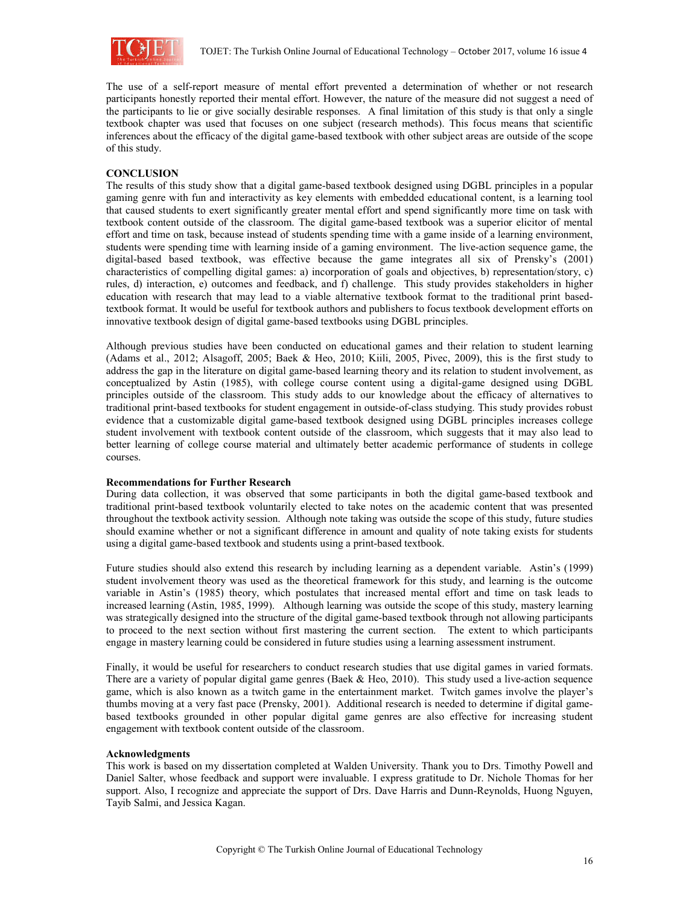

The use of a self-report measure of mental effort prevented a determination of whether or not research participants honestly reported their mental effort. However, the nature of the measure did not suggest a need of the participants to lie or give socially desirable responses. A final limitation of this study is that only a single textbook chapter was used that focuses on one subject (research methods). This focus means that scientific inferences about the efficacy of the digital game-based textbook with other subject areas are outside of the scope of this study.

### **CONCLUSION**

The results of this study show that a digital game-based textbook designed using DGBL principles in a popular gaming genre with fun and interactivity as key elements with embedded educational content, is a learning tool that caused students to exert significantly greater mental effort and spend significantly more time on task with textbook content outside of the classroom. The digital game-based textbook was a superior elicitor of mental effort and time on task, because instead of students spending time with a game inside of a learning environment, students were spending time with learning inside of a gaming environment. The live-action sequence game, the digital-based based textbook, was effective because the game integrates all six of Prensky's (2001) characteristics of compelling digital games: a) incorporation of goals and objectives, b) representation/story, c) rules, d) interaction, e) outcomes and feedback, and f) challenge. This study provides stakeholders in higher education with research that may lead to a viable alternative textbook format to the traditional print basedtextbook format. It would be useful for textbook authors and publishers to focus textbook development efforts on innovative textbook design of digital game-based textbooks using DGBL principles.

Although previous studies have been conducted on educational games and their relation to student learning (Adams et al., 2012; Alsagoff, 2005; Baek & Heo, 2010; Kiili, 2005, Pivec, 2009), this is the first study to address the gap in the literature on digital game-based learning theory and its relation to student involvement, as conceptualized by Astin (1985), with college course content using a digital-game designed using DGBL principles outside of the classroom. This study adds to our knowledge about the efficacy of alternatives to traditional print-based textbooks for student engagement in outside-of-class studying. This study provides robust evidence that a customizable digital game-based textbook designed using DGBL principles increases college student involvement with textbook content outside of the classroom, which suggests that it may also lead to better learning of college course material and ultimately better academic performance of students in college courses.

#### **Recommendations for Further Research**

During data collection, it was observed that some participants in both the digital game-based textbook and traditional print-based textbook voluntarily elected to take notes on the academic content that was presented throughout the textbook activity session. Although note taking was outside the scope of this study, future studies should examine whether or not a significant difference in amount and quality of note taking exists for students using a digital game-based textbook and students using a print-based textbook.

Future studies should also extend this research by including learning as a dependent variable. Astin's (1999) student involvement theory was used as the theoretical framework for this study, and learning is the outcome variable in Astin's (1985) theory, which postulates that increased mental effort and time on task leads to increased learning (Astin, 1985, 1999). Although learning was outside the scope of this study, mastery learning was strategically designed into the structure of the digital game-based textbook through not allowing participants to proceed to the next section without first mastering the current section. The extent to which participants engage in mastery learning could be considered in future studies using a learning assessment instrument.

Finally, it would be useful for researchers to conduct research studies that use digital games in varied formats. There are a variety of popular digital game genres (Baek & Heo, 2010). This study used a live-action sequence game, which is also known as a twitch game in the entertainment market. Twitch games involve the player's thumbs moving at a very fast pace (Prensky, 2001). Additional research is needed to determine if digital gamebased textbooks grounded in other popular digital game genres are also effective for increasing student engagement with textbook content outside of the classroom.

#### **Acknowledgments**

This work is based on my dissertation completed at Walden University. Thank you to Drs. Timothy Powell and Daniel Salter, whose feedback and support were invaluable. I express gratitude to Dr. Nichole Thomas for her support. Also, I recognize and appreciate the support of Drs. Dave Harris and Dunn-Reynolds, Huong Nguyen, Tayib Salmi, and Jessica Kagan.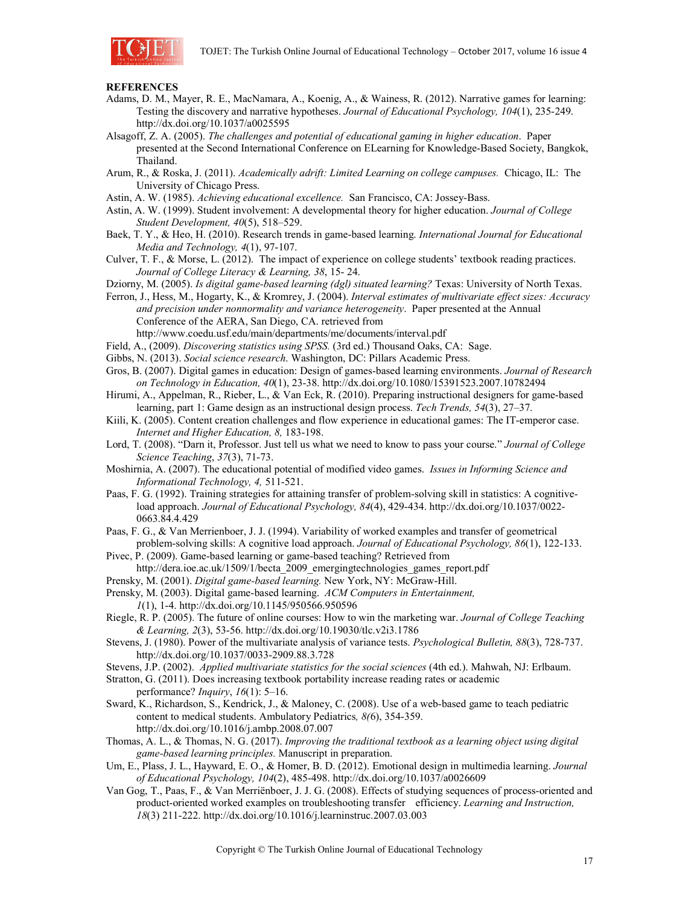

#### **REFERENCES**

- Adams, D. M., Mayer, R. E., MacNamara, A., Koenig, A., & Wainess, R. (2012). Narrative games for learning: Testing the discovery and narrative hypotheses. *Journal of Educational Psychology, 104*(1), 235-249. http://dx.doi.org/10.1037/a0025595
- Alsagoff, Z. A. (2005). *The challenges and potential of educational gaming in higher education*. Paper presented at the Second International Conference on ELearning for Knowledge-Based Society, Bangkok, Thailand.
- Arum, R., & Roska, J. (2011). *Academically adrift: Limited Learning on college campuses.* Chicago, IL: The University of Chicago Press.
- Astin, A. W. (1985). *Achieving educational excellence.* San Francisco, CA: Jossey-Bass.
- Astin, A. W. (1999). Student involvement: A developmental theory for higher education. *Journal of College Student Development, 40*(5), 518–529.
- Baek, T. Y., & Heo, H. (2010). Research trends in game-based learning. *International Journal for Educational Media and Technology, 4*(1), 97-107.
- Culver, T. F., & Morse, L. (2012). The impact of experience on college students' textbook reading practices. *Journal of College Literacy & Learning, 38*, 15- 24.
- Dziorny, M. (2005). *Is digital game-based learning (dgl) situated learning?* Texas: University of North Texas.
- Ferron, J., Hess, M., Hogarty, K., & Kromrey, J. (2004). *Interval estimates of multivariate effect sizes: Accuracy and precision under nonnormality and variance heterogeneity*. Paper presented at the Annual Conference of the AERA, San Diego, CA. retrieved from http://www.coedu.usf.edu/main/departments/me/documents/interval.pdf
- 
- Field, A., (2009). *Discovering statistics using SPSS.* (3rd ed.) Thousand Oaks, CA: Sage.
- Gibbs, N. (2013). *Social science research*. Washington, DC: Pillars Academic Press.
- Gros, B. (2007). Digital games in education: Design of games-based learning environments. *Journal of Research on Technology in Education, 40*(1), 23-38. http://dx.doi.org/10.1080/15391523.2007.10782494
- Hirumi, A., Appelman, R., Rieber, L., & Van Eck, R. (2010). Preparing instructional designers for game-based learning, part 1: Game design as an instructional design process. *Tech Trends, 54*(3), 27–37.
- Kiili, K. (2005). Content creation challenges and flow experience in educational games: The IT-emperor case. *Internet and Higher Education, 8,* 183-198.
- Lord, T. (2008). "Darn it, Professor. Just tell us what we need to know to pass your course." *Journal of College Science Teaching*, *37*(3), 71-73.
- Moshirnia, A. (2007). The educational potential of modified video games. *Issues in Informing Science and Informational Technology, 4,* 511-521.
- Paas, F. G. (1992). Training strategies for attaining transfer of problem-solving skill in statistics: A cognitiveload approach. *Journal of Educational Psychology, 84*(4), 429-434. http://dx.doi.org/10.1037/0022- 0663.84.4.429
- Paas, F. G., & Van Merrienboer, J. J. (1994). Variability of worked examples and transfer of geometrical problem-solving skills: A cognitive load approach. *Journal of Educational Psychology, 86*(1), 122-133.
- Pivec, P. (2009). Game-based learning or game-based teaching? Retrieved from
- http://dera.ioe.ac.uk/1509/1/becta\_2009\_emergingtechnologies\_games\_report.pdf
- Prensky, M. (2001). *Digital game-based learning.* New York, NY: McGraw-Hill.
- Prensky, M. (2003). Digital game-based learning. *ACM Computers in Entertainment, 1*(1), 1-4. http://dx.doi.org/10.1145/950566.950596
- Riegle, R. P. (2005). The future of online courses: How to win the marketing war. *Journal of College Teaching & Learning, 2*(3), 53-56. http://dx.doi.org/10.19030/tlc.v2i3.1786
- Stevens, J. (1980). Power of the multivariate analysis of variance tests. *Psychological Bulletin, 88*(3), 728-737. http://dx.doi.org/10.1037/0033-2909.88.3.728
- Stevens, J.P. (2002). *Applied multivariate statistics for the social sciences* (4th ed.). Mahwah, NJ: Erlbaum.
- Stratton, G. (2011). Does increasing textbook portability increase reading rates or academic performance? *Inquiry*, *16*(1): 5–16.
- Sward, K., Richardson, S., Kendrick, J., & Maloney, C. (2008). Use of a web-based game to teach pediatric content to medical students. Ambulatory Pediatrics*, 8(*6), 354-359. http://dx.doi.org/10.1016/j.ambp.2008.07.007
- Thomas, A. L., & Thomas, N. G. (2017). *Improving the traditional textbook as a learning object using digital game-based learning principles.* Manuscript in preparation.
- Um, E., Plass, J. L., Hayward, E. O., & Homer, B. D. (2012). Emotional design in multimedia learning. *Journal of Educational Psychology, 104*(2), 485-498. http://dx.doi.org/10.1037/a0026609
- Van Gog, T., Paas, F., & Van Merriënboer, J. J. G. (2008). Effects of studying sequences of process-oriented and product-oriented worked examples on troubleshooting transfer efficiency. *Learning and Instruction, 18*(3) 211-222. http://dx.doi.org/10.1016/j.learninstruc.2007.03.003